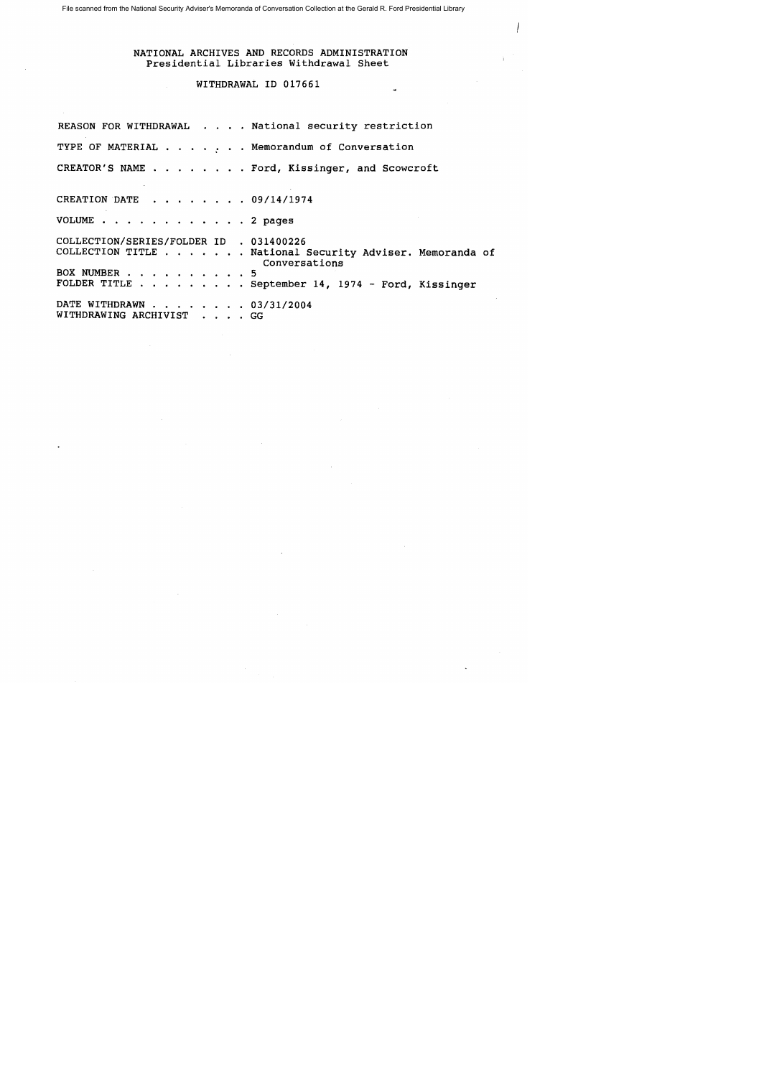## NATIONAL ARCHIVES AND RECORDS ADMINISTRATION Presidential Libraries Withdrawal Sheet

## WITHDRAWAL 10 017661

REASON FOR WITHDRAWAL . . . . National security restriction TYPE OF MATERIAL  $\cdots$ ,  $\cdots$ , Memorandum of Conversation CREATOR'S NAME .. . ... Ford, Kissinger, and Scowcroft CREATION DATE . . . . . . 09/14/1974 VOLUME . . . . . . . . . . . . 2 pages COLLECTION/SERIES/FOLDER 10 • 031400226 COLLECTION TITLE ...•.•. National Security Adviser. Memoranda of Conversations BOX NUMBER . . . . . . . . . . 5 FOLDER TITLE . . . . . . . . September 14, 1974 - Ford, Kissinger DATE WITHDRAWN . . . . 03/31/2004 WITHDRAWING ARCHIVIST . . . . GG